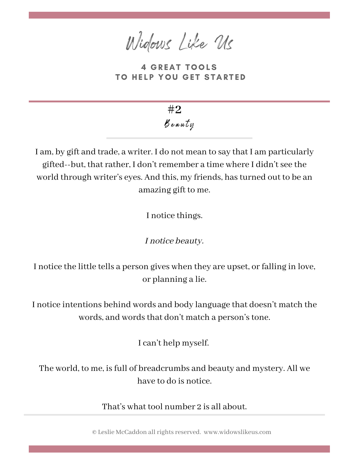Widows Like Us

**4 GREAT TOOLS** TO HELP YOU GET STARTED

B eauty **#2**

I am, by gift and trade, a writer. I do not mean to say that I am particularly gifted--but, that rather, I don't remember a time where I didn't see the world through writer's eyes. And this, my friends, hasturned out to be an amazing gift to me.

I notice things.

I notice beauty.

I notice the little tells a person gives when they are upset, or falling in love, or planning a lie.

I notice intentions behind words and body language that doesn't match the words, and words that don't match a person's tone.

I can't help myself.

The world, to me, is full of breadcrumbs and beauty and mystery. All we have to do is notice.

That's what tool number 2 is all about.

© Leslie McCaddon allrightsreserved. www.widowslikeus.com